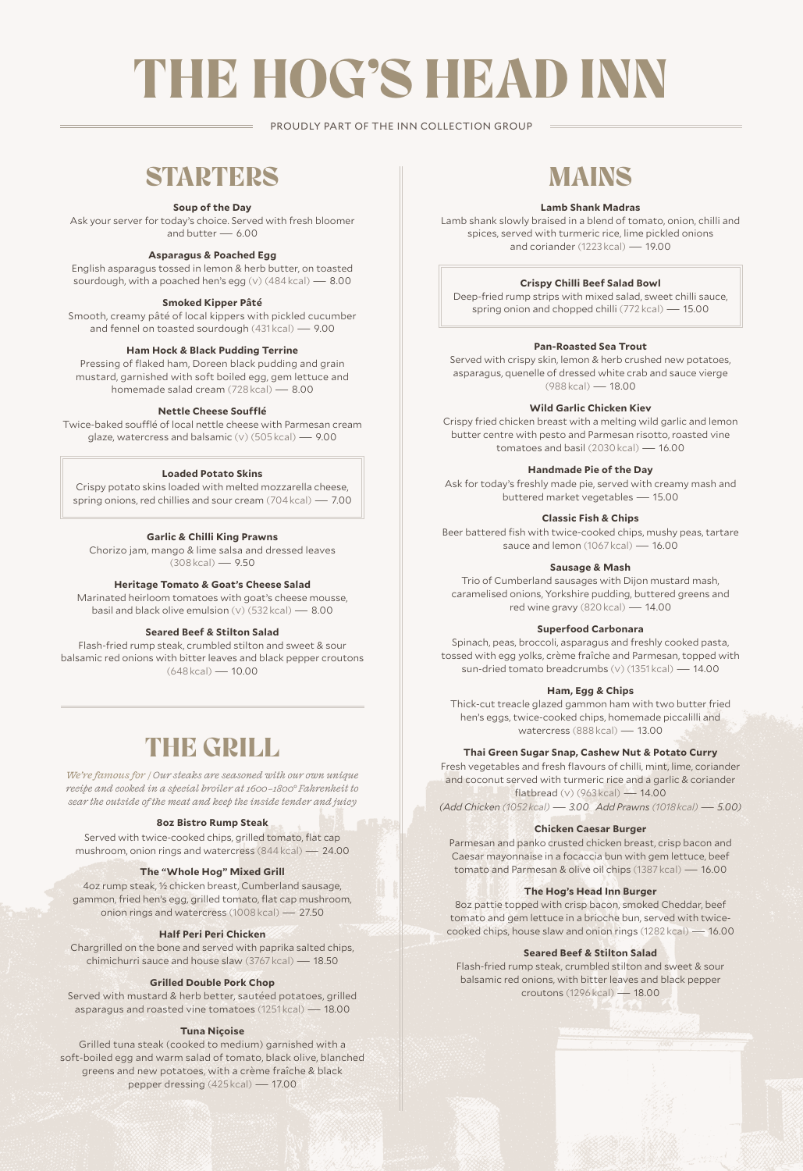# THE HOG'S HEAD INN

PROUDLY PART OF THE INN COLLECTION GROUP

### **STARTERS**

#### **Soup of the Day**

Ask your server for today's choice. Served with fresh bloomer<br>and butter  $-6.00$ and butter -

#### **Asparagus & Poached Egg**

English asparagus tossed in lemon & herb butter, on toasted sourdough, with a poached hen's egg (v) (484 kcal) — 8.00

#### **Smoked Kipper Pâté**

Smooth, creamy pâté of local kippers with pickled cucumber and fennel on toasted sourdough (431 kcal) — 9.00

#### **Ham Hock & Black Pudding Terrine**

Pressing of flaked ham, Doreen black pudding and grain mustard, garnished with soft boiled egg, gem lettuce and homemade salad cream (728 kcal) — 8.00

#### **Nettle Cheese Soufflé**

Twice-baked soufflé of local nettle cheese with Parmesan cream glaze, watercress and balsamic (v) (505 kcal) — 9.00

#### **Loaded Potato Skins**

Crispy potato skins loaded with melted mozzarella cheese, spring onions, red chillies and sour cream (704 kcal) — 7.00

#### **Garlic & Chilli King Prawns**

Chorizo jam, mango & lime salsa and dressed leaves (308 kcal) — 9.50

#### **Heritage Tomato & Goat's Cheese Salad**

Marinated heirloom tomatoes with goat's cheese mousse, basil and black olive emulsion (v) (532 kcal) — 8.00

#### **Seared Beef & Stilton Salad**

Flash-fried rump steak, crumbled stilton and sweet & sour balsamic red onions with bitter leaves and black pepper croutons (648 kcal) — 10.00

### THE GRILL

*We're famous for / Our steaks are seasoned with our own unique recipe and cooked in a special broiler at 1600–1800° Fahrenheit to sear the outside of the meat and keep the inside tender and juicy*

#### **8oz Bistro Rump Steak**

Served with twice-cooked chips, grilled tomato, flat cap mushroom, onion rings and watercress (844 kcal) — 24.00

#### **The "Whole Hog" Mixed Grill**

4oz rump steak, ½ chicken breast, Cumberland sausage, gammon, fried hen's egg, grilled tomato, flat cap mushroom, onion rings and watercress (1008 kcal) — 27.50

#### **Half Peri Peri Chicken**

Chargrilled on the bone and served with paprika salted chips, chimichurri sauce and house slaw (3767 kcal) — 18.50

#### **Grilled Double Pork Chop**

Served with mustard & herb better, sautéed potatoes, grilled asparagus and roasted vine tomatoes (1251 kcal) — 18.00

#### **Tuna Niçoise**

Grilled tuna steak (cooked to medium) garnished with a soft-boiled egg and warm salad of tomato, black olive, blanched greens and new potatoes, with a crème fraîche & black pepper dressing (425 kcal) — 17.00

### MAINS

#### **Lamb Shank Madras**

Lamb shank slowly braised in a blend of tomato, onion, chilli and spices, served with turmeric rice, lime pickled onions and coriander (1223 kcal) — 19.00

#### **Crispy Chilli Beef Salad Bowl**

Deep-fried rump strips with mixed salad, sweet chilli sauce, spring onion and chopped chilli (772 kcal) — 15.00

#### **Pan-Roasted Sea Trout**

Served with crispy skin, lemon & herb crushed new potatoes, asparagus, quenelle of dressed white crab and sauce vierge (988 kcal) — 18.00

#### **Wild Garlic Chicken Kiev**

Crispy fried chicken breast with a melting wild garlic and lemon butter centre with pesto and Parmesan risotto, roasted vine tomatoes and basil (2030 kcal) — 16.00

#### **Handmade Pie of the Day**

Ask for today's freshly made pie, served with creamy mash and buttered market vegetables — 15.00

#### **Classic Fish & Chips**

Beer battered fish with twice-cooked chips, mushy peas, tartare sauce and lemon (1067 kcal) — 16.00

#### **Sausage & Mash**

Trio of Cumberland sausages with Dijon mustard mash, caramelised onions, Yorkshire pudding, buttered greens and red wine gravy (820 kcal) — 14.00

#### **Superfood Carbonara**

Spinach, peas, broccoli, asparagus and freshly cooked pasta, tossed with egg yolks, crème fraîche and Parmesan, topped with sun-dried tomato breadcrumbs (v) (1351 kcal) — 14.00

#### **Ham, Egg & Chips**

Thick-cut treacle glazed gammon ham with two butter fried hen's eggs, twice-cooked chips, homemade piccalilli and watercress (888 kcal) — 13.00

#### **Thai Green Sugar Snap, Cashew Nut & Potato Curry**

Fresh vegetables and fresh flavours of chilli, mint, lime, coriander and coconut served with turmeric rice and a garlic & coriander flatbread (v) (963 kcal) — 14.00

*(Add Chicken (1052 kcal) — 3.00 Add Prawns (1018 kcal) — 5.00)*

#### **Chicken Caesar Burger**

Parmesan and panko crusted chicken breast, crisp bacon and Caesar mayonnaise in a focaccia bun with gem lettuce, beef tomato and Parmesan & olive oil chips (1387 kcal) — 16.00

#### **The Hog's Head Inn Burger**

8oz pattie topped with crisp bacon, smoked Cheddar, beef tomato and gem lettuce in a brioche bun, served with twicecooked chips, house slaw and onion rings (1282 kcal) — 16.00

#### **Seared Beef & Stilton Salad**

Flash-fried rump steak, crumbled stilton and sweet & sour balsamic red onions, with bitter leaves and black pepper croutons (1296 kcal) — 18.00